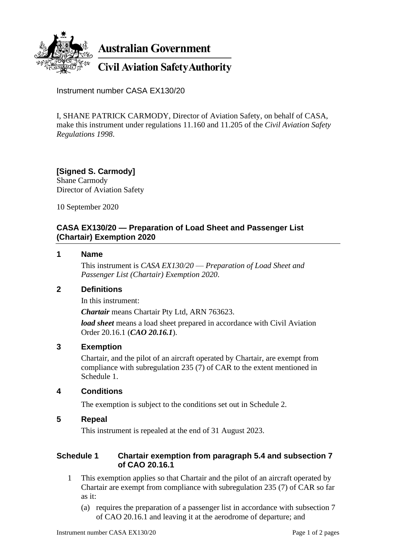

**Australian Government** 

**Civil Aviation Safety Authority** 

Instrument number CASA EX130/20

I, SHANE PATRICK CARMODY, Director of Aviation Safety, on behalf of CASA, make this instrument under regulations 11.160 and 11.205 of the *Civil Aviation Safety Regulations 1998*.

#### **[Signed S. Carmody]** Shane Carmody Director of Aviation Safety

10 September 2020

## **CASA EX130/20 — Preparation of Load Sheet and Passenger List (Chartair) Exemption 2020**

## **1 Name**

This instrument is *CASA EX130/20* — *Preparation of Load Sheet and Passenger List (Chartair) Exemption 2020*.

# **2 Definitions**

In this instrument:

*Chartair* means Chartair Pty Ltd, ARN 763623.

*load sheet* means a load sheet prepared in accordance with Civil Aviation Order 20.16.1 (*CAO 20.16.1*).

### **3 Exemption**

Chartair, and the pilot of an aircraft operated by Chartair, are exempt from compliance with subregulation 235 (7) of CAR to the extent mentioned in Schedule 1.

# **4 Conditions**

The exemption is subject to the conditions set out in Schedule 2.

### **5 Repeal**

This instrument is repealed at the end of 31 August 2023.

## **Schedule 1 Chartair exemption from paragraph 5.4 and subsection 7 of CAO 20.16.1**

- 1 This exemption applies so that Chartair and the pilot of an aircraft operated by Chartair are exempt from compliance with subregulation 235 (7) of CAR so far as it:
	- (a) requires the preparation of a passenger list in accordance with subsection 7 of CAO 20.16.1 and leaving it at the aerodrome of departure; and